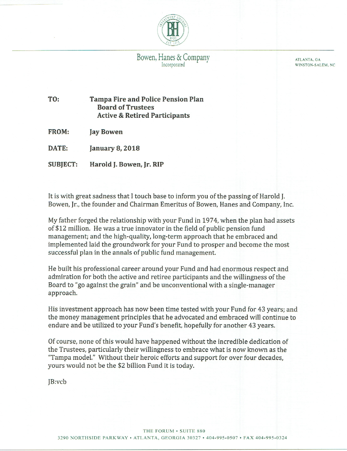

ATLANTA, GA WINSTON-SALEM, NC

TO: **Tampa Fire and Police Pension Plan Board of Trustees Active & Retired Participants** 

FROM: Jay Bowen

DATE: January 8, 2018

**SUBJECT:** Harold J. Bowen, Jr. RIP

It is with great sadness that I touch base to inform you of the passing of Harold J. Bowen, Jr., the founder and Chairman Emeritus of Bowen, Hanes and Company, Inc.

My father forged the relationship with your Fund in 1974, when the plan had assets of \$12 million. He was a true innovator in the field of public pension fund management; and the high-quality, long-term approach that he embraced and implemented laid the groundwork for your Fund to prosper and become the most successful plan in the annals of public fund management.

He built his professional career around your Fund and had enormous respect and admiration for both the active and retiree participants and the willingness of the Board to "go against the grain" and be unconventional with a single-manager approach.

His investment approach has now been time tested with your Fund for 43 years; and the money management principles that he advocated and embraced will continue to endure and be utilized to your Fund's benefit, hopefully for another 43 years.

Of course, none of this would have happened without the incredible dedication of the Trustees, particularly their willingness to embrace what is now known as the "Tampa model." Without their heroic efforts and support for over four decades, yours would not be the \$2 billion Fund it is today.

IB:vcb